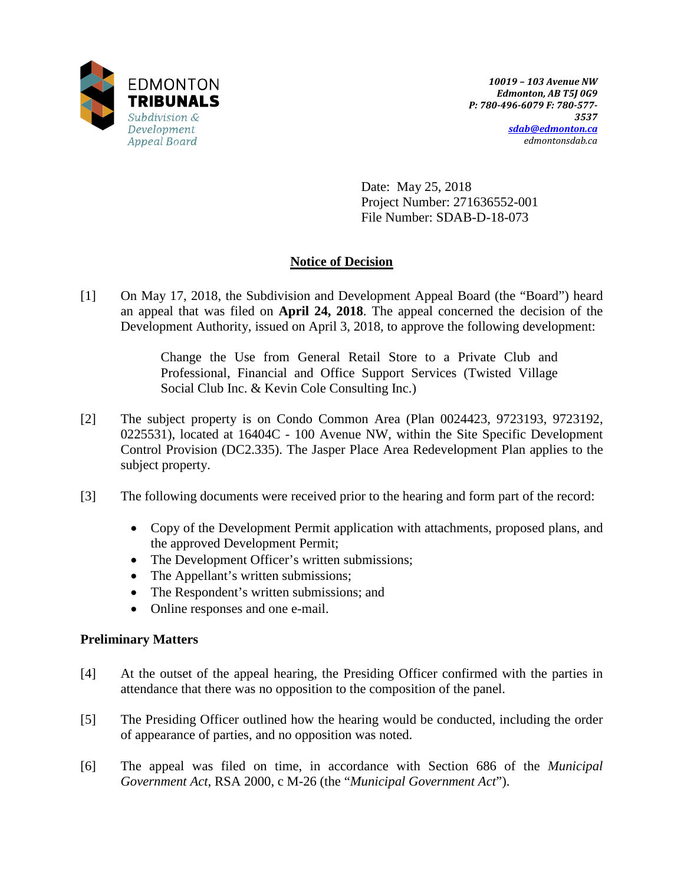

Date: May 25, 2018 Project Number: 271636552-001 File Number: SDAB-D-18-073

## **Notice of Decision**

[1] On May 17, 2018, the Subdivision and Development Appeal Board (the "Board") heard an appeal that was filed on **April 24, 2018**. The appeal concerned the decision of the Development Authority, issued on April 3, 2018, to approve the following development:

> Change the Use from General Retail Store to a Private Club and Professional, Financial and Office Support Services (Twisted Village Social Club Inc. & Kevin Cole Consulting Inc.)

- [2] The subject property is on Condo Common Area (Plan 0024423, 9723193, 9723192, 0225531), located at 16404C - 100 Avenue NW, within the Site Specific Development Control Provision (DC2.335). The Jasper Place Area Redevelopment Plan applies to the subject property.
- [3] The following documents were received prior to the hearing and form part of the record:
	- Copy of the Development Permit application with attachments, proposed plans, and the approved Development Permit;
	- The Development Officer's written submissions;
	- The Appellant's written submissions;
	- The Respondent's written submissions; and
	- Online responses and one e-mail.

### **Preliminary Matters**

- [4] At the outset of the appeal hearing, the Presiding Officer confirmed with the parties in attendance that there was no opposition to the composition of the panel.
- [5] The Presiding Officer outlined how the hearing would be conducted, including the order of appearance of parties, and no opposition was noted.
- [6] The appeal was filed on time, in accordance with Section 686 of the *Municipal Government Act*, RSA 2000, c M-26 (the "*Municipal Government Act*").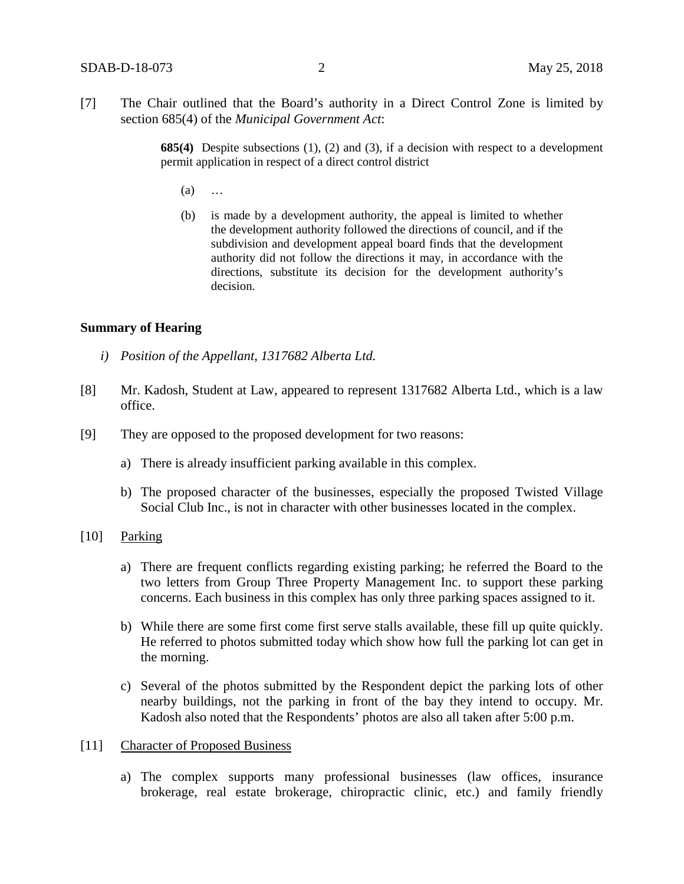[7] The Chair outlined that the Board's authority in a Direct Control Zone is limited by section 685(4) of the *Municipal Government Act*:

> **685(4)** Despite subsections (1), (2) and (3), if a decision with respect to a development permit application in respect of a direct control district

- (a) …
- (b) is made by a development authority, the appeal is limited to whether the development authority followed the directions of council, and if the subdivision and development appeal board finds that the development authority did not follow the directions it may, in accordance with the directions, substitute its decision for the development authority's decision.

#### **Summary of Hearing**

- *i) Position of the Appellant, 1317682 Alberta Ltd.*
- [8] Mr. Kadosh, Student at Law, appeared to represent 1317682 Alberta Ltd., which is a law office.
- [9] They are opposed to the proposed development for two reasons:
	- a) There is already insufficient parking available in this complex.
	- b) The proposed character of the businesses, especially the proposed Twisted Village Social Club Inc., is not in character with other businesses located in the complex.
- [10] Parking
	- a) There are frequent conflicts regarding existing parking; he referred the Board to the two letters from Group Three Property Management Inc. to support these parking concerns. Each business in this complex has only three parking spaces assigned to it.
	- b) While there are some first come first serve stalls available, these fill up quite quickly. He referred to photos submitted today which show how full the parking lot can get in the morning.
	- c) Several of the photos submitted by the Respondent depict the parking lots of other nearby buildings, not the parking in front of the bay they intend to occupy. Mr. Kadosh also noted that the Respondents' photos are also all taken after 5:00 p.m.
- [11] Character of Proposed Business
	- a) The complex supports many professional businesses (law offices, insurance brokerage, real estate brokerage, chiropractic clinic, etc.) and family friendly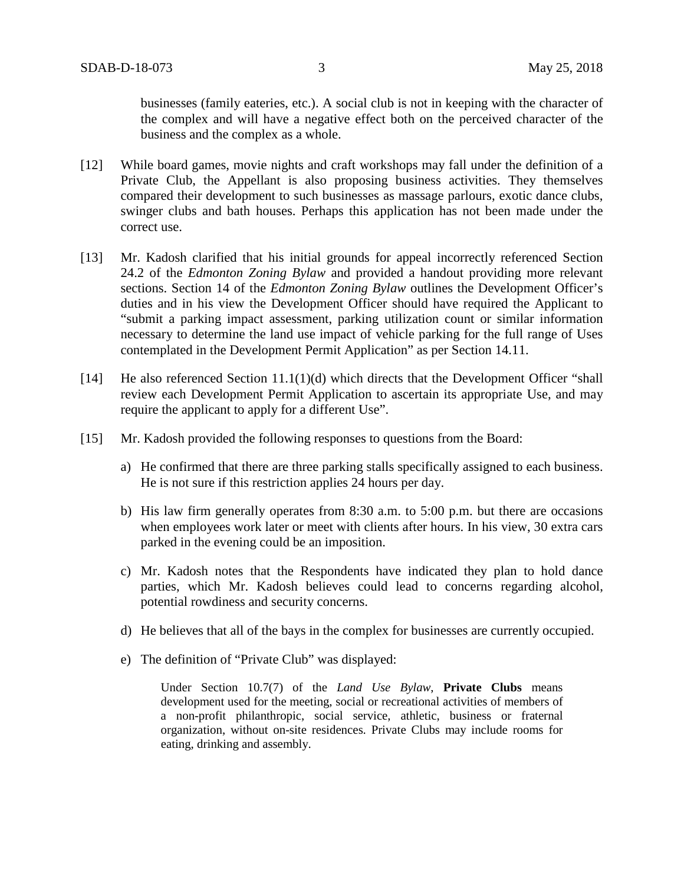businesses (family eateries, etc.). A social club is not in keeping with the character of the complex and will have a negative effect both on the perceived character of the business and the complex as a whole.

- [12] While board games, movie nights and craft workshops may fall under the definition of a Private Club, the Appellant is also proposing business activities. They themselves compared their development to such businesses as massage parlours, exotic dance clubs, swinger clubs and bath houses. Perhaps this application has not been made under the correct use.
- [13] Mr. Kadosh clarified that his initial grounds for appeal incorrectly referenced Section 24.2 of the *Edmonton Zoning Bylaw* and provided a handout providing more relevant sections. Section 14 of the *Edmonton Zoning Bylaw* outlines the Development Officer's duties and in his view the Development Officer should have required the Applicant to "submit a parking impact assessment, parking utilization count or similar information necessary to determine the land use impact of vehicle parking for the full range of Uses contemplated in the Development Permit Application" as per Section 14.11.
- [14] He also referenced Section 11.1(1)(d) which directs that the Development Officer "shall review each Development Permit Application to ascertain its appropriate Use, and may require the applicant to apply for a different Use".
- [15] Mr. Kadosh provided the following responses to questions from the Board:
	- a) He confirmed that there are three parking stalls specifically assigned to each business. He is not sure if this restriction applies 24 hours per day.
	- b) His law firm generally operates from 8:30 a.m. to 5:00 p.m. but there are occasions when employees work later or meet with clients after hours. In his view, 30 extra cars parked in the evening could be an imposition.
	- c) Mr. Kadosh notes that the Respondents have indicated they plan to hold dance parties, which Mr. Kadosh believes could lead to concerns regarding alcohol, potential rowdiness and security concerns.
	- d) He believes that all of the bays in the complex for businesses are currently occupied.
	- e) The definition of "Private Club" was displayed:

Under Section 10.7(7) of the *Land Use Bylaw*, **Private Clubs** means development used for the meeting, social or recreational activities of members of a non-profit philanthropic, social service, athletic, business or fraternal organization, without on-site residences. Private Clubs may include rooms for eating, drinking and assembly.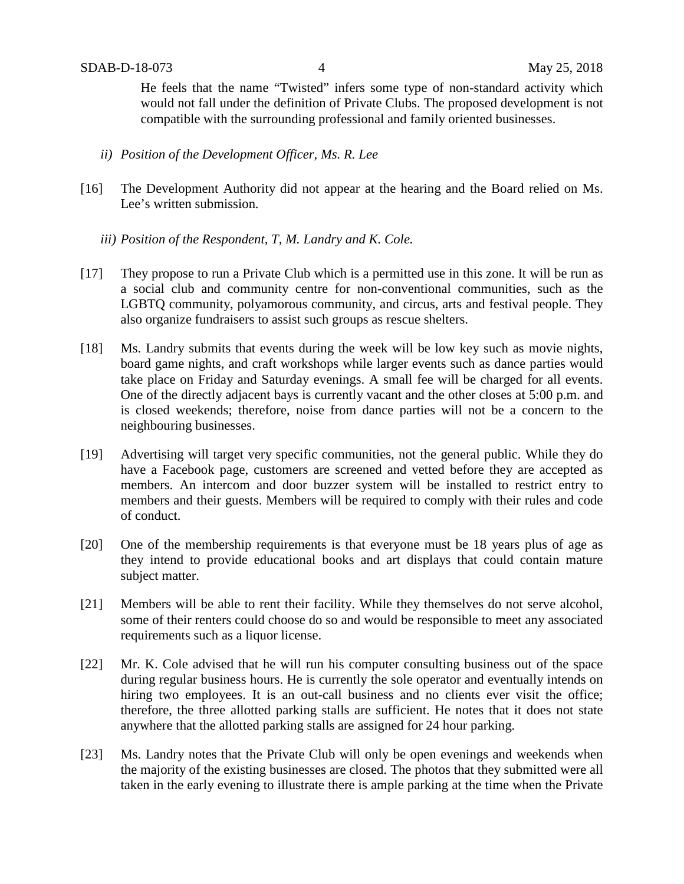He feels that the name "Twisted" infers some type of non-standard activity which would not fall under the definition of Private Clubs. The proposed development is not compatible with the surrounding professional and family oriented businesses.

- *ii) Position of the Development Officer, Ms. R. Lee*
- [16] The Development Authority did not appear at the hearing and the Board relied on Ms. Lee's written submission.
	- *iii) Position of the Respondent, T, M. Landry and K. Cole.*
- [17] They propose to run a Private Club which is a permitted use in this zone. It will be run as a social club and community centre for non-conventional communities, such as the LGBTQ community, polyamorous community, and circus, arts and festival people. They also organize fundraisers to assist such groups as rescue shelters.
- [18] Ms. Landry submits that events during the week will be low key such as movie nights, board game nights, and craft workshops while larger events such as dance parties would take place on Friday and Saturday evenings. A small fee will be charged for all events. One of the directly adjacent bays is currently vacant and the other closes at 5:00 p.m. and is closed weekends; therefore, noise from dance parties will not be a concern to the neighbouring businesses.
- [19] Advertising will target very specific communities, not the general public. While they do have a Facebook page, customers are screened and vetted before they are accepted as members. An intercom and door buzzer system will be installed to restrict entry to members and their guests. Members will be required to comply with their rules and code of conduct.
- [20] One of the membership requirements is that everyone must be 18 years plus of age as they intend to provide educational books and art displays that could contain mature subject matter.
- [21] Members will be able to rent their facility. While they themselves do not serve alcohol, some of their renters could choose do so and would be responsible to meet any associated requirements such as a liquor license.
- [22] Mr. K. Cole advised that he will run his computer consulting business out of the space during regular business hours. He is currently the sole operator and eventually intends on hiring two employees. It is an out-call business and no clients ever visit the office; therefore, the three allotted parking stalls are sufficient. He notes that it does not state anywhere that the allotted parking stalls are assigned for 24 hour parking.
- [23] Ms. Landry notes that the Private Club will only be open evenings and weekends when the majority of the existing businesses are closed. The photos that they submitted were all taken in the early evening to illustrate there is ample parking at the time when the Private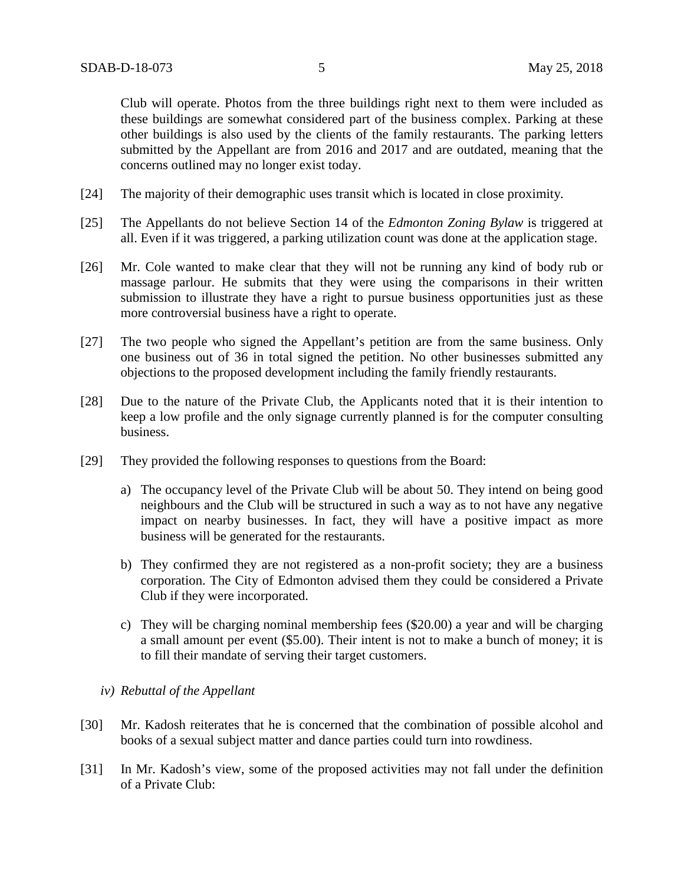Club will operate. Photos from the three buildings right next to them were included as these buildings are somewhat considered part of the business complex. Parking at these other buildings is also used by the clients of the family restaurants. The parking letters submitted by the Appellant are from 2016 and 2017 and are outdated, meaning that the concerns outlined may no longer exist today.

- [24] The majority of their demographic uses transit which is located in close proximity.
- [25] The Appellants do not believe Section 14 of the *Edmonton Zoning Bylaw* is triggered at all. Even if it was triggered, a parking utilization count was done at the application stage.
- [26] Mr. Cole wanted to make clear that they will not be running any kind of body rub or massage parlour. He submits that they were using the comparisons in their written submission to illustrate they have a right to pursue business opportunities just as these more controversial business have a right to operate.
- [27] The two people who signed the Appellant's petition are from the same business. Only one business out of 36 in total signed the petition. No other businesses submitted any objections to the proposed development including the family friendly restaurants.
- [28] Due to the nature of the Private Club, the Applicants noted that it is their intention to keep a low profile and the only signage currently planned is for the computer consulting business.
- [29] They provided the following responses to questions from the Board:
	- a) The occupancy level of the Private Club will be about 50. They intend on being good neighbours and the Club will be structured in such a way as to not have any negative impact on nearby businesses. In fact, they will have a positive impact as more business will be generated for the restaurants.
	- b) They confirmed they are not registered as a non-profit society; they are a business corporation. The City of Edmonton advised them they could be considered a Private Club if they were incorporated.
	- c) They will be charging nominal membership fees (\$20.00) a year and will be charging a small amount per event (\$5.00). Their intent is not to make a bunch of money; it is to fill their mandate of serving their target customers.
	- *iv) Rebuttal of the Appellant*
- [30] Mr. Kadosh reiterates that he is concerned that the combination of possible alcohol and books of a sexual subject matter and dance parties could turn into rowdiness.
- [31] In Mr. Kadosh's view, some of the proposed activities may not fall under the definition of a Private Club: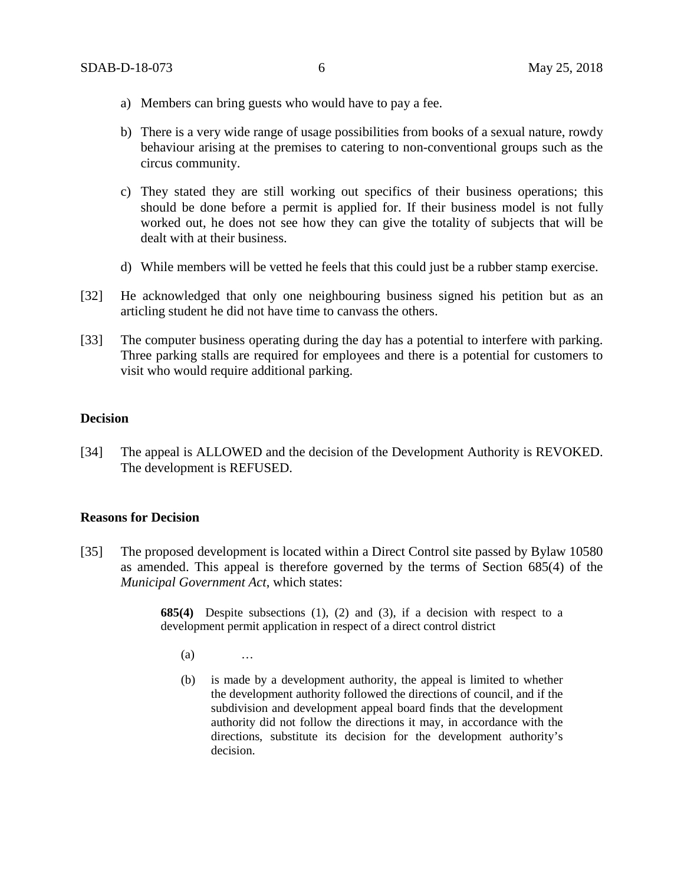- a) Members can bring guests who would have to pay a fee.
- b) There is a very wide range of usage possibilities from books of a sexual nature, rowdy behaviour arising at the premises to catering to non-conventional groups such as the circus community.
- c) They stated they are still working out specifics of their business operations; this should be done before a permit is applied for. If their business model is not fully worked out, he does not see how they can give the totality of subjects that will be dealt with at their business.
- d) While members will be vetted he feels that this could just be a rubber stamp exercise.
- [32] He acknowledged that only one neighbouring business signed his petition but as an articling student he did not have time to canvass the others.
- [33] The computer business operating during the day has a potential to interfere with parking. Three parking stalls are required for employees and there is a potential for customers to visit who would require additional parking.

#### **Decision**

[34] The appeal is ALLOWED and the decision of the Development Authority is REVOKED. The development is REFUSED.

#### **Reasons for Decision**

[35] The proposed development is located within a Direct Control site passed by Bylaw 10580 as amended. This appeal is therefore governed by the terms of Section 685(4) of the *Municipal Government Act*, which states:

> **685(4)** Despite subsections (1), (2) and (3), if a decision with respect to a development permit application in respect of a direct control district

- (a) …
- (b) is made by a development authority, the appeal is limited to whether the development authority followed the directions of council, and if the subdivision and development appeal board finds that the development authority did not follow the directions it may, in accordance with the directions, substitute its decision for the development authority's decision.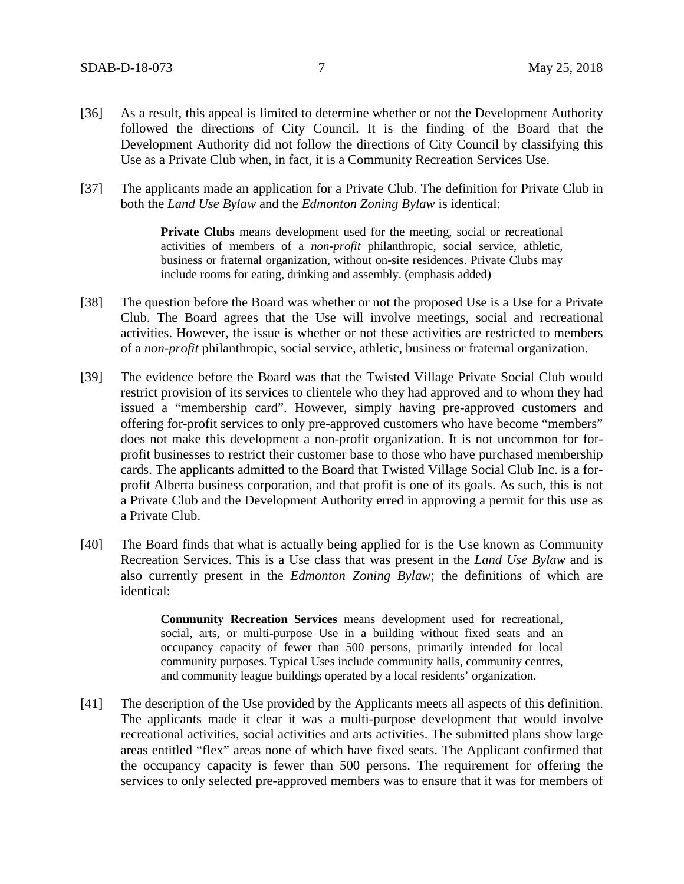- [36] As a result, this appeal is limited to determine whether or not the Development Authority followed the directions of City Council. It is the finding of the Board that the Development Authority did not follow the directions of City Council by classifying this Use as a Private Club when, in fact, it is a Community Recreation Services Use.
- [37] The applicants made an application for a Private Club. The definition for Private Club in both the *Land Use Bylaw* and the *Edmonton Zoning Bylaw* is identical:

**Private Clubs** means development used for the meeting, social or recreational activities of members of a *non-profit* philanthropic, social service, athletic, business or fraternal organization, without on-site residences. Private Clubs may include rooms for eating, drinking and assembly. (emphasis added)

- [38] The question before the Board was whether or not the proposed Use is a Use for a Private Club. The Board agrees that the Use will involve meetings, social and recreational activities. However, the issue is whether or not these activities are restricted to members of a *non-profit* philanthropic, social service, athletic, business or fraternal organization.
- [39] The evidence before the Board was that the Twisted Village Private Social Club would restrict provision of its services to clientele who they had approved and to whom they had issued a "membership card". However, simply having pre-approved customers and offering for-profit services to only pre-approved customers who have become "members" does not make this development a non-profit organization. It is not uncommon for forprofit businesses to restrict their customer base to those who have purchased membership cards. The applicants admitted to the Board that Twisted Village Social Club Inc. is a forprofit Alberta business corporation, and that profit is one of its goals. As such, this is not a Private Club and the Development Authority erred in approving a permit for this use as a Private Club.
- [40] The Board finds that what is actually being applied for is the Use known as Community Recreation Services. This is a Use class that was present in the *Land Use Bylaw* and is also currently present in the *Edmonton Zoning Bylaw*; the definitions of which are identical:

**Community Recreation Services** means development used for recreational, social, arts, or multi-purpose Use in a building without fixed seats and an occupancy capacity of fewer than 500 persons, primarily intended for local community purposes. Typical Uses include community halls, community centres, and community league buildings operated by a local residents' organization.

[41] The description of the Use provided by the Applicants meets all aspects of this definition. The applicants made it clear it was a multi-purpose development that would involve recreational activities, social activities and arts activities. The submitted plans show large areas entitled "flex" areas none of which have fixed seats. The Applicant confirmed that the occupancy capacity is fewer than 500 persons. The requirement for offering the services to only selected pre-approved members was to ensure that it was for members of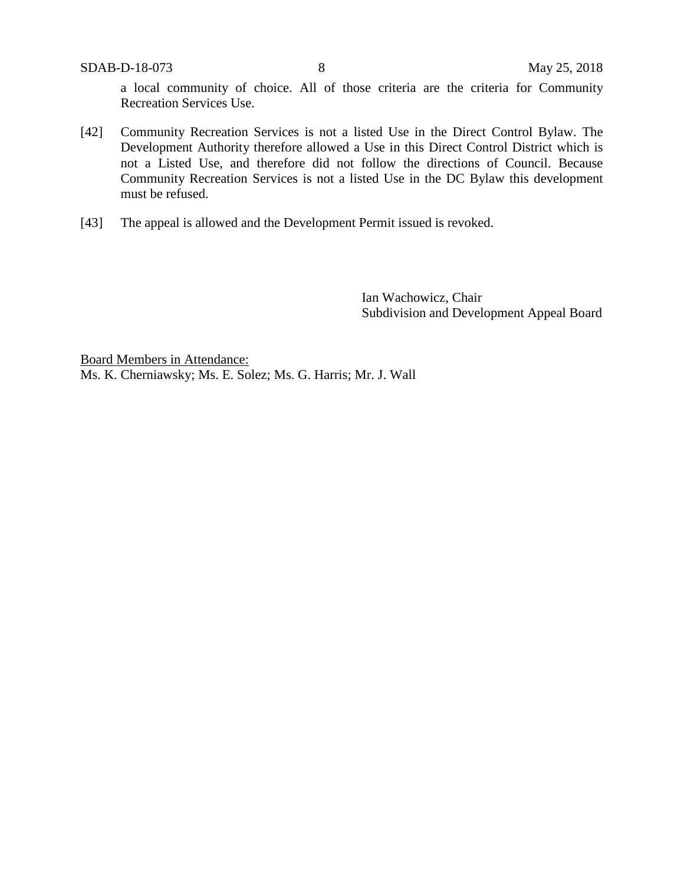a local community of choice. All of those criteria are the criteria for Community Recreation Services Use.

- [42] Community Recreation Services is not a listed Use in the Direct Control Bylaw. The Development Authority therefore allowed a Use in this Direct Control District which is not a Listed Use, and therefore did not follow the directions of Council. Because Community Recreation Services is not a listed Use in the DC Bylaw this development must be refused.
- [43] The appeal is allowed and the Development Permit issued is revoked.

Ian Wachowicz, Chair Subdivision and Development Appeal Board

Board Members in Attendance: Ms. K. Cherniawsky; Ms. E. Solez; Ms. G. Harris; Mr. J. Wall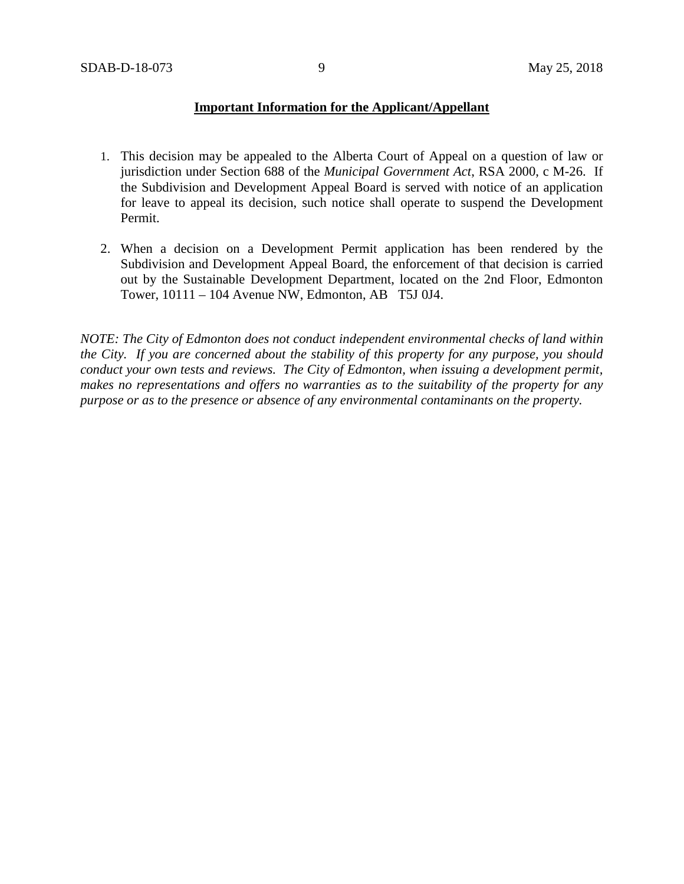### **Important Information for the Applicant/Appellant**

- 1. This decision may be appealed to the Alberta Court of Appeal on a question of law or jurisdiction under Section 688 of the *Municipal Government Act*, RSA 2000, c M-26. If the Subdivision and Development Appeal Board is served with notice of an application for leave to appeal its decision, such notice shall operate to suspend the Development Permit.
- 2. When a decision on a Development Permit application has been rendered by the Subdivision and Development Appeal Board, the enforcement of that decision is carried out by the Sustainable Development Department, located on the 2nd Floor, Edmonton Tower, 10111 – 104 Avenue NW, Edmonton, AB T5J 0J4.

*NOTE: The City of Edmonton does not conduct independent environmental checks of land within the City. If you are concerned about the stability of this property for any purpose, you should conduct your own tests and reviews. The City of Edmonton, when issuing a development permit, makes no representations and offers no warranties as to the suitability of the property for any purpose or as to the presence or absence of any environmental contaminants on the property.*